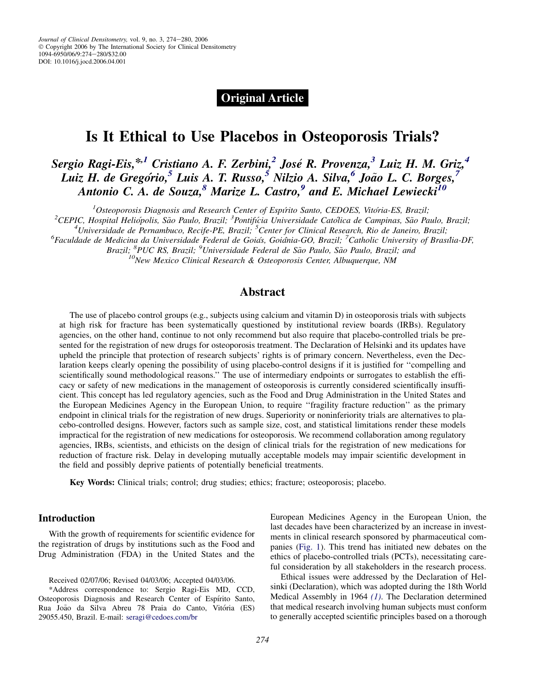## Original Article

# Is It Ethical to Use Placebos in Osteoporosis Trials?

Sergio Ragi-Eis, $^{*,1}$  Cristiano A. F. Zerbini,<sup>2</sup> José R. Provenza,<sup>3</sup> Luiz H. M. Griz,<sup>4</sup> Luiz H. de Gregório, $^5$  Luis A. T. Russo, $^5$  Nilzio A. Silva, $^6$  João L. C. Borges, $^7$ Antonio C. A. de Souza, $^8$  Marize L. Castro, $^9$  and E. Michael Lewiecki $^{10}$ 

<sup>1</sup>Osteoporosis Diagnosis and Research Center of Espírito Santo, CEDOES, Vitória-ES, Brazil;<br><sup>2</sup>CEPIC, Hespital Heliópolis, São Paulo, Brazil; <sup>3</sup> Pontifícia Universidade Católica de Campinas, São Pa

CEPIC, Hospital Heliópolis, São Paulo, Brazil; <sup>3</sup>Pontifícia Universidade Católica de Campinas, São Paulo, Brazil;<br><sup>4</sup>Universidade de Pernambuco, Besife PE, Brazil; <sup>5</sup>Center for Clinical Pessarch, Pio de Janeiro, Brazil;

Universidade de Pernambuco, Recife-PE, Brazil; <sup>5</sup>Center for Clinical Research, Rio de Janeiro, Brazil;

<sup>6</sup>Faculdade de Medicina da Universidade Federal de Goiás, Goiânia-GO, Brazil; <sup>7</sup>Catholic University of Brasília-DF,

Brazil; <sup>8</sup>PUC RS, Brazil; <sup>9</sup>

 $^{10}$ New Mexico Clinical Research & Osteoporosis Center, Albuquerque, NM

## Abstract

The use of placebo control groups (e.g., subjects using calcium and vitamin D) in osteoporosis trials with subjects at high risk for fracture has been systematically questioned by institutional review boards (IRBs). Regulatory agencies, on the other hand, continue to not only recommend but also require that placebo-controlled trials be presented for the registration of new drugs for osteoporosis treatment. The Declaration of Helsinki and its updates have upheld the principle that protection of research subjects' rights is of primary concern. Nevertheless, even the Declaration keeps clearly opening the possibility of using placebo-control designs if it is justified for ''compelling and scientifically sound methodological reasons.'' The use of intermediary endpoints or surrogates to establish the efficacy or safety of new medications in the management of osteoporosis is currently considered scientifically insufficient. This concept has led regulatory agencies, such as the Food and Drug Administration in the United States and the European Medicines Agency in the European Union, to require ''fragility fracture reduction'' as the primary endpoint in clinical trials for the registration of new drugs. Superiority or noninferiority trials are alternatives to placebo-controlled designs. However, factors such as sample size, cost, and statistical limitations render these models impractical for the registration of new medications for osteoporosis. We recommend collaboration among regulatory agencies, IRBs, scientists, and ethicists on the design of clinical trials for the registration of new medications for reduction of fracture risk. Delay in developing mutually acceptable models may impair scientific development in the field and possibly deprive patients of potentially beneficial treatments.

Key Words: Clinical trials; control; drug studies; ethics; fracture; osteoporosis; placebo.

### Introduction

With the growth of requirements for scientific evidence for the registration of drugs by institutions such as the Food and Drug Administration (FDA) in the United States and the

Received 02/07/06; Revised 04/03/06; Accepted 04/03/06.

European Medicines Agency in the European Union, the last decades have been characterized by an increase in investments in clinical research sponsored by pharmaceutical companies ([Fig. 1\)](#page-1-0). This trend has initiated new debates on the ethics of placebo-controlled trials (PCTs), necessitating careful consideration by all stakeholders in the research process.

Ethical issues were addressed by the Declaration of Helsinki (Declaration), which was adopted during the 18th World Medical Assembly in 1964 [\(1\)](#page-5-0). The Declaration determined that medical research involving human subjects must conform to generally accepted scientific principles based on a thorough

<sup>\*</sup>Address correspondence to: Sergio Ragi-Eis MD, CCD, Osteoporosis Diagnosis and Research Center of Espírito Santo, Rua João da Silva Abreu 78 Praia do Canto, Vitória (ES) 29055.450, Brazil. E-mail: [seragi@cedoes.com/br](mailto:seragi@cedoes.com/br)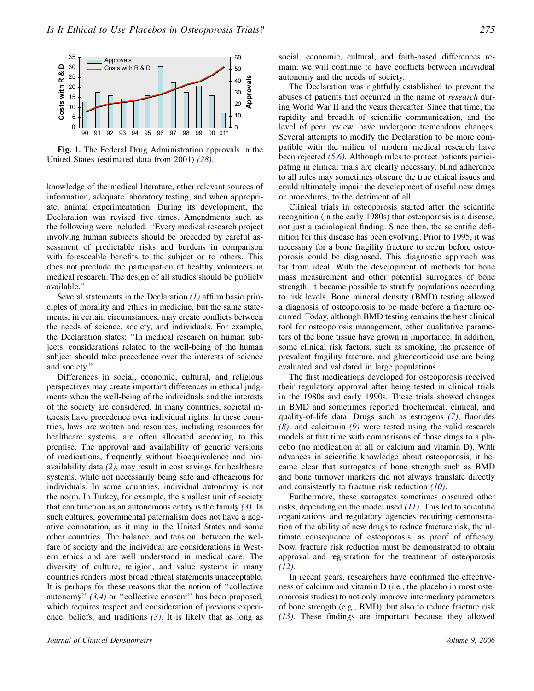<span id="page-1-0"></span>

Fig. 1. The Federal Drug Administration approvals in the United States (estimated data from 2001) [\(28\)](#page-6-0).

knowledge of the medical literature, other relevant sources of information, adequate laboratory testing, and when appropriate, animal experimentation. During its development, the Declaration was revised five times. Amendments such as the following were included: ''Every medical research project involving human subjects should be preceded by careful assessment of predictable risks and burdens in comparison with foreseeable benefits to the subject or to others. This does not preclude the participation of healthy volunteers in medical research. The design of all studies should be publicly available.''

Several statements in the Declaration  $(1)$  affirm basic principles of morality and ethics in medicine, but the same statements, in certain circumstances, may create conflicts between the needs of science, society, and individuals. For example, the Declaration states: ''In medical research on human subjects, considerations related to the well-being of the human subject should take precedence over the interests of science and society.''

Differences in social, economic, cultural, and religious perspectives may create important differences in ethical judgments when the well-being of the individuals and the interests of the society are considered. In many countries, societal interests have precedence over individual rights. In these countries, laws are written and resources, including resources for healthcare systems, are often allocated according to this premise. The approval and availability of generic versions of medications, frequently without bioequivalence and bioavailability data [\(2\)](#page-5-0), may result in cost savings for healthcare systems, while not necessarily being safe and efficacious for individuals. In some countries, individual autonomy is not the norm. In Turkey, for example, the smallest unit of society that can function as an autonomous entity is the family  $(3)$ . In such cultures, governmental paternalism does not have a negative connotation, as it may in the United States and some other countries. The balance, and tension, between the welfare of society and the individual are considerations in Western ethics and are well understood in medical care. The diversity of culture, religion, and value systems in many countries renders most broad ethical statements unacceptable. It is perhaps for these reasons that the notion of ''collective autonomy"  $(3,4)$  or "collective consent" has been proposed, which requires respect and consideration of previous experience, beliefs, and traditions [\(3\)](#page-5-0). It is likely that as long as social, economic, cultural, and faith-based differences remain, we will continue to have conflicts between individual autonomy and the needs of society.

The Declaration was rightfully established to prevent the abuses of patients that occurred in the name of *research* during World War II and the years thereafter. Since that time, the rapidity and breadth of scientific communication, and the level of peer review, have undergone tremendous changes. Several attempts to modify the Declaration to be more compatible with the milieu of modern medical research have been rejected [\(5,6\)](#page-5-0). Although rules to protect patients participating in clinical trials are clearly necessary, blind adherence to all rules may sometimes obscure the true ethical issues and could ultimately impair the development of useful new drugs or procedures, to the detriment of all.

Clinical trials in osteoporosis started after the scientific recognition (in the early 1980s) that osteoporosis is a disease, not just a radiological finding. Since then, the scientific definition for this disease has been evolving. Prior to 1995, it was necessary for a bone fragility fracture to occur before osteoporosis could be diagnosed. This diagnostic approach was far from ideal. With the development of methods for bone mass measurement and other potential surrogates of bone strength, it became possible to stratify populations according to risk levels. Bone mineral density (BMD) testing allowed a diagnosis of osteoporosis to be made before a fracture occurred. Today, although BMD testing remains the best clinical tool for osteoporosis management, other qualitative parameters of the bone tissue have grown in importance. In addition, some clinical risk factors, such as smoking, the presence of prevalent fragility fracture, and glucocorticoid use are being evaluated and validated in large populations.

The first medications developed for osteoporosis received their regulatory approval after being tested in clinical trials in the 1980s and early 1990s. These trials showed changes in BMD and sometimes reported biochemical, clinical, and quality-of-life data. Drugs such as estrogens [\(7\)](#page-5-0), fluorides [\(8\)](#page-5-0), and calcitonin [\(9\)](#page-5-0) were tested using the valid research models at that time with comparisons of those drugs to a placebo (no medication at all or calcium and vitamin D). With advances in scientific knowledge about osteoporosis, it became clear that surrogates of bone strength such as BMD and bone turnover markers did not always translate directly and consistently to fracture risk reduction [\(10\)](#page-5-0).

Furthermore, these surrogates sometimes obscured other risks, depending on the model used  $(11)$ . This led to scientific organizations and regulatory agencies requiring demonstration of the ability of new drugs to reduce fracture risk, the ultimate consequence of osteoporosis, as proof of efficacy. Now, fracture risk reduction must be demonstrated to obtain approval and registration for the treatment of osteoporosis  $(12)$ .

In recent years, researchers have confirmed the effectiveness of calcium and vitamin D (i.e., the placebo in most osteoporosis studies) to not only improve intermediary parameters of bone strength (e.g., BMD), but also to reduce fracture risk [\(13\)](#page-6-0). These findings are important because they allowed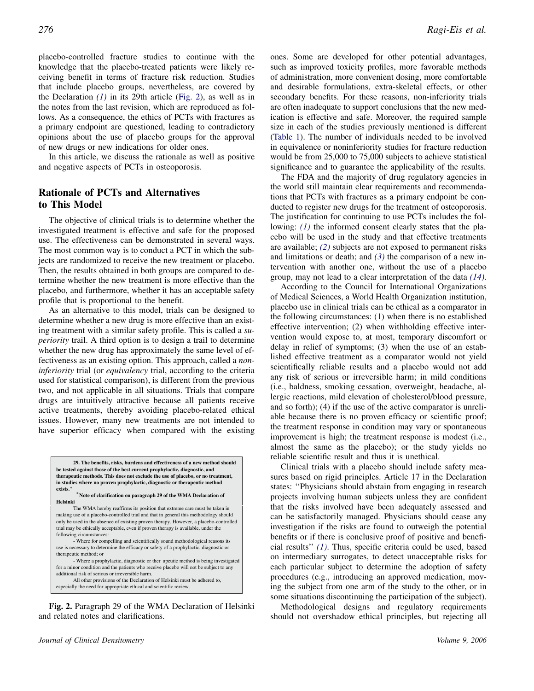placebo-controlled fracture studies to continue with the knowledge that the placebo-treated patients were likely receiving benefit in terms of fracture risk reduction. Studies that include placebo groups, nevertheless, are covered by the Declaration  $(1)$  in its 29th article (Fig. 2), as well as in the notes from the last revision, which are reproduced as follows. As a consequence, the ethics of PCTs with fractures as a primary endpoint are questioned, leading to contradictory opinions about the use of placebo groups for the approval of new drugs or new indications for older ones.

In this article, we discuss the rationale as well as positive and negative aspects of PCTs in osteoporosis.

## Rationale of PCTs and Alternatives to This Model

The objective of clinical trials is to determine whether the investigated treatment is effective and safe for the proposed use. The effectiveness can be demonstrated in several ways. The most common way is to conduct a PCT in which the subjects are randomized to receive the new treatment or placebo. Then, the results obtained in both groups are compared to determine whether the new treatment is more effective than the placebo, and furthermore, whether it has an acceptable safety profile that is proportional to the benefit.

As an alternative to this model, trials can be designed to determine whether a new drug is more effective than an existing treatment with a similar safety profile. This is called a superiority trail. A third option is to design a trail to determine whether the new drug has approximately the same level of effectiveness as an existing option. This approach, called a noninferiority trial (or equivalency trial, according to the criteria used for statistical comparison), is different from the previous two, and not applicable in all situations. Trials that compare drugs are intuitively attractive because all patients receive active treatments, thereby avoiding placebo-related ethical issues. However, many new treatments are not intended to have superior efficacy when compared with the existing

Fig. 2. Paragraph 29 of the WMA Declaration of Helsinki and related notes and clarifications.

ones. Some are developed for other potential advantages, such as improved toxicity profiles, more favorable methods of administration, more convenient dosing, more comfortable and desirable formulations, extra-skeletal effects, or other secondary benefits. For these reasons, non-inferiority trials are often inadequate to support conclusions that the new medication is effective and safe. Moreover, the required sample size in each of the studies previously mentioned is different [\(Table 1](#page-3-0)). The number of individuals needed to be involved in equivalence or noninferiority studies for fracture reduction would be from 25,000 to 75,000 subjects to achieve statistical significance and to guarantee the applicability of the results.

The FDA and the majority of drug regulatory agencies in the world still maintain clear requirements and recommendations that PCTs with fractures as a primary endpoint be conducted to register new drugs for the treatment of osteoporosis. The justification for continuing to use PCTs includes the fol-lowing: [\(1\)](#page-5-0) the informed consent clearly states that the placebo will be used in the study and that effective treatments are available; [\(2\)](#page-5-0) subjects are not exposed to permanent risks and limitations or death; and  $(3)$  the comparison of a new intervention with another one, without the use of a placebo group, may not lead to a clear interpretation of the data [\(14\)](#page-6-0).

According to the Council for International Organizations of Medical Sciences, a World Health Organization institution, placebo use in clinical trials can be ethical as a comparator in the following circumstances: (1) when there is no established effective intervention; (2) when withholding effective intervention would expose to, at most, temporary discomfort or delay in relief of symptoms; (3) when the use of an established effective treatment as a comparator would not yield scientifically reliable results and a placebo would not add any risk of serious or irreversible harm; in mild conditions (i.e., baldness, smoking cessation, overweight, headache, allergic reactions, mild elevation of cholesterol/blood pressure, and so forth); (4) if the use of the active comparator is unreliable because there is no proven efficacy or scientific proof; the treatment response in condition may vary or spontaneous improvement is high; the treatment response is modest (i.e., almost the same as the placebo); or the study yields no reliable scientific result and thus it is unethical.

Clinical trials with a placebo should include safety measures based on rigid principles. Article 17 in the Declaration states: ''Physicians should abstain from engaging in research projects involving human subjects unless they are confident that the risks involved have been adequately assessed and can be satisfactorily managed. Physicians should cease any investigation if the risks are found to outweigh the potential benefits or if there is conclusive proof of positive and beneficial results'' [\(1\)](#page-5-0). Thus, specific criteria could be used, based on intermediary surrogates, to detect unacceptable risks for each particular subject to determine the adoption of safety procedures (e.g., introducing an approved medication, moving the subject from one arm of the study to the other, or in some situations discontinuing the participation of the subject).

Methodological designs and regulatory requirements should not overshadow ethical principles, but rejecting all

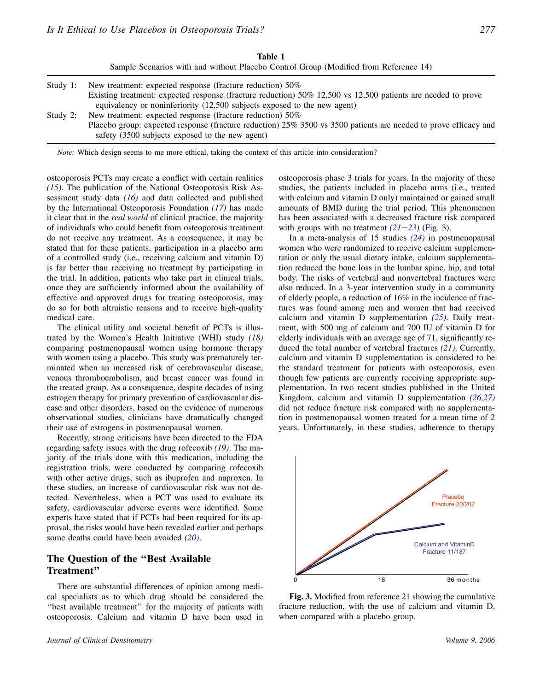| Table 1                                                                              |  |  |  |  |
|--------------------------------------------------------------------------------------|--|--|--|--|
| Sample Scenarios with and without Placebo Control Group (Modified from Reference 14) |  |  |  |  |

<span id="page-3-0"></span>

|            | Study 1: New treatment: expected response (fracture reduction) $50\%$                                            |
|------------|------------------------------------------------------------------------------------------------------------------|
|            | Existing treatment: expected response (fracture reduction) 50% 12,500 vs 12,500 patients are needed to prove     |
|            | equivalency or noninferiority (12,500 subjects exposed to the new agent)                                         |
| Study $2:$ | New treatment: expected response (fracture reduction) 50%                                                        |
|            | Placebo group: expected response (fracture reduction) 25% 3500 vs 3500 patients are needed to prove efficacy and |
|            | safety (3500 subjects exposed to the new agent)                                                                  |

Note: Which design seems to me more ethical, taking the context of this article into consideration?

osteoporosis PCTs may create a conflict with certain realities [\(15\)](#page-6-0). The publication of the National Osteoporosis Risk Assessment study data [\(16\)](#page-6-0) and data collected and published by the International Osteoporosis Foundation [\(17\)](#page-6-0) has made it clear that in the real world of clinical practice, the majority of individuals who could benefit from osteoporosis treatment do not receive any treatment. As a consequence, it may be stated that for these patients, participation in a placebo arm of a controlled study (i.e., receiving calcium and vitamin D) is far better than receiving no treatment by participating in the trial. In addition, patients who take part in clinical trials, once they are sufficiently informed about the availability of effective and approved drugs for treating osteoporosis, may do so for both altruistic reasons and to receive high-quality medical care.

The clinical utility and societal benefit of PCTs is illustrated by the Women's Health Initiative (WHI) study [\(18\)](#page-6-0) comparing postmenopausal women using hormone therapy with women using a placebo. This study was prematurely terminated when an increased risk of cerebrovascular disease, venous thromboembolism, and breast cancer was found in the treated group. As a consequence, despite decades of using estrogen therapy for primary prevention of cardiovascular disease and other disorders, based on the evidence of numerous observational studies, clinicians have dramatically changed their use of estrogens in postmenopausal women.

Recently, strong criticisms have been directed to the FDA regarding safety issues with the drug rofecoxib [\(19\)](#page-6-0). The majority of the trials done with this medication, including the registration trials, were conducted by comparing rofecoxib with other active drugs, such as ibuprofen and naproxen. In these studies, an increase of cardiovascular risk was not detected. Nevertheless, when a PCT was used to evaluate its safety, cardiovascular adverse events were identified. Some experts have stated that if PCTs had been required for its approval, the risks would have been revealed earlier and perhaps some deaths could have been avoided [\(20\)](#page-6-0).

## The Question of the ''Best Available Treatment''

There are substantial differences of opinion among medical specialists as to which drug should be considered the ''best available treatment'' for the majority of patients with osteoporosis. Calcium and vitamin D have been used in

osteoporosis phase 3 trials for years. In the majority of these studies, the patients included in placebo arms (i.e., treated with calcium and vitamin D only) maintained or gained small amounts of BMD during the trial period. This phenomenon has been associated with a decreased fracture risk compared with groups with no treatment  $(21-23)$  $(21-23)$  (Fig. 3).

In a meta-analysis of 15 studies  $(24)$  in postmenopausal women who were randomized to receive calcium supplementation or only the usual dietary intake, calcium supplementation reduced the bone loss in the lumbar spine, hip, and total body. The risks of vertebral and nonvertebral fractures were also reduced. In a 3-year intervention study in a community of elderly people, a reduction of 16% in the incidence of fractures was found among men and women that had received calcium and vitamin D supplementation [\(25\)](#page-6-0). Daily treatment, with 500 mg of calcium and 700 IU of vitamin D for elderly individuals with an average age of 71, significantly reduced the total number of vertebral fractures [\(21\)](#page-6-0). Currently, calcium and vitamin D supplementation is considered to be the standard treatment for patients with osteoporosis, even though few patients are currently receiving appropriate supplementation. In two recent studies published in the United Kingdom, calcium and vitamin D supplementation [\(26,27\)](#page-6-0) did not reduce fracture risk compared with no supplementation in postmenopausal women treated for a mean time of 2 years. Unfortunately, in these studies, adherence to therapy



Fig. 3. Modified from reference 21 showing the cumulative fracture reduction, with the use of calcium and vitamin D, when compared with a placebo group.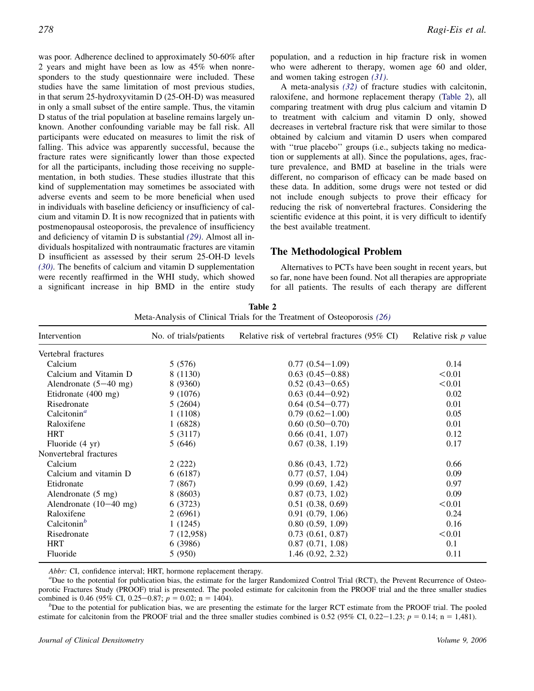was poor. Adherence declined to approximately 50-60% after 2 years and might have been as low as 45% when nonresponders to the study questionnaire were included. These studies have the same limitation of most previous studies, in that serum 25-hydroxyvitamin D (25-OH-D) was measured in only a small subset of the entire sample. Thus, the vitamin D status of the trial population at baseline remains largely unknown. Another confounding variable may be fall risk. All participants were educated on measures to limit the risk of falling. This advice was apparently successful, because the fracture rates were significantly lower than those expected for all the participants, including those receiving no supplementation, in both studies. These studies illustrate that this kind of supplementation may sometimes be associated with adverse events and seem to be more beneficial when used in individuals with baseline deficiency or insufficiency of calcium and vitamin D. It is now recognized that in patients with postmenopausal osteoporosis, the prevalence of insufficiency and deficiency of vitamin D is substantial [\(29\)](#page-6-0). Almost all individuals hospitalized with nontraumatic fractures are vitamin D insufficient as assessed by their serum 25-OH-D levels [\(30\)](#page-6-0). The benefits of calcium and vitamin D supplementation were recently reaffirmed in the WHI study, which showed a significant increase in hip BMD in the entire study

population, and a reduction in hip fracture risk in women who were adherent to therapy, women age 60 and older, and women taking estrogen [\(31\)](#page-6-0).

A meta-analysis [\(32\)](#page-6-0) of fracture studies with calcitonin, raloxifene, and hormone replacement therapy (Table 2), all comparing treatment with drug plus calcium and vitamin D to treatment with calcium and vitamin D only, showed decreases in vertebral fracture risk that were similar to those obtained by calcium and vitamin D users when compared with ''true placebo'' groups (i.e., subjects taking no medication or supplements at all). Since the populations, ages, fracture prevalence, and BMD at baseline in the trials were different, no comparison of efficacy can be made based on these data. In addition, some drugs were not tested or did not include enough subjects to prove their efficacy for reducing the risk of nonvertebral fractures. Considering the scientific evidence at this point, it is very difficult to identify the best available treatment.

#### The Methodological Problem

Alternatives to PCTs have been sought in recent years, but so far, none have been found. Not all therapies are appropriate for all patients. The results of each therapy are different

| Intervention             | No. of trials/patients | Relative risk of vertebral fractures (95% CI) | Relative risk $p$ value |
|--------------------------|------------------------|-----------------------------------------------|-------------------------|
| Vertebral fractures      |                        |                                               |                         |
| Calcium                  | 5(576)                 | $0.77(0.54-1.09)$                             | 0.14                    |
| Calcium and Vitamin D    | 8 (1130)               | $0.63(0.45-0.88)$                             | < 0.01                  |
| Alendronate $(5-40$ mg)  | 8 (9360)               | $0.52(0.43 - 0.65)$                           | < 0.01                  |
| Etidronate (400 mg)      | 9(1076)                | $0.63(0.44 - 0.92)$                           | 0.02                    |
| Risedronate              | 5(2604)                | $0.64(0.54 - 0.77)$                           | 0.01                    |
| Calcitonin $a$           | 1(1108)                | $0.79(0.62 - 1.00)$                           | 0.05                    |
| Raloxifene               | 1(6828)                | $0.60(0.50 - 0.70)$                           | 0.01                    |
| <b>HRT</b>               | 5(3117)                | 0.66(0.41, 1.07)                              | 0.12                    |
| Fluoride (4 yr)          | 5(646)                 | 0.67(0.38, 1.19)                              | 0.17                    |
| Nonvertebral fractures   |                        |                                               |                         |
| Calcium                  | 2(222)                 | 0.86(0.43, 1.72)                              | 0.66                    |
| Calcium and vitamin D    | 6(6187)                | 0.77(0.57, 1.04)                              | 0.09                    |
| Etidronate               | 7(867)                 | 0.99(0.69, 1.42)                              | 0.97                    |
| Alendronate (5 mg)       | 8 (8603)               | 0.87(0.73, 1.02)                              | 0.09                    |
| Alendronate $(10-40$ mg) | 6 (3723)               | 0.51(0.38, 0.69)                              | < 0.01                  |
| Raloxifene               | 2(6961)                | 0.91(0.79, 1.06)                              | 0.24                    |
| Calcitonin $\mathbf{b}$  | 1(1245)                | 0.80(0.59, 1.09)                              | 0.16                    |
| Risedronate              | 7(12,958)              | $0.73$ $(0.61, 0.87)$                         | < 0.01                  |
| <b>HRT</b>               | 6 (3986)               | 0.87(0.71, 1.08)                              | 0.1                     |
| Fluoride                 | 5(950)                 | 1.46(0.92, 2.32)                              | 0.11                    |

Table 2 Meta-Analysis of Clinical Trials for the Treatment of Osteoporosis [\(26\)](#page-6-0)

Abbr: CI, confidence interval; HRT, hormone replacement therapy.

 ${}^{\alpha}$ Due to the potential for publication bias, the estimate for the larger Randomized Control Trial (RCT), the Prevent Recurrence of Osteoporotic Fractures Study (PROOF) trial is presented. The pooled estimate for calcitonin from the PROOF trial and the three smaller studies combined is 0.46 (95% CI, 0.25–0.87;  $p = 0.02$ ; n = 1404).

 $^{\prime}$ Due to the potential for publication bias, we are presenting the estimate for the larger RCT estimate from the PROOF trial. The pooled estimate for calcitonin from the PROOF trial and the three smaller studies combined is 0.52 (95% CI, 0.22–1.23;  $p = 0.14$ ; n = 1,481).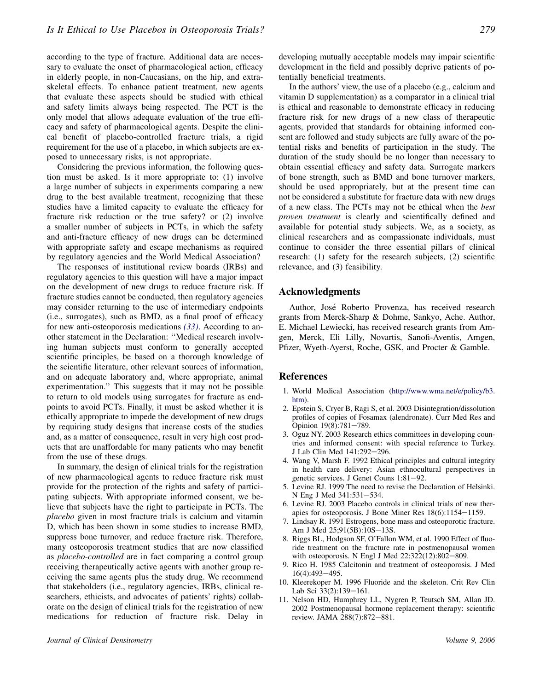<span id="page-5-0"></span>according to the type of fracture. Additional data are necessary to evaluate the onset of pharmacological action, efficacy in elderly people, in non-Caucasians, on the hip, and extraskeletal effects. To enhance patient treatment, new agents that evaluate these aspects should be studied with ethical and safety limits always being respected. The PCT is the only model that allows adequate evaluation of the true efficacy and safety of pharmacological agents. Despite the clinical benefit of placebo-controlled fracture trials, a rigid requirement for the use of a placebo, in which subjects are exposed to unnecessary risks, is not appropriate.

Considering the previous information, the following question must be asked. Is it more appropriate to: (1) involve a large number of subjects in experiments comparing a new drug to the best available treatment, recognizing that these studies have a limited capacity to evaluate the efficacy for fracture risk reduction or the true safety? or (2) involve a smaller number of subjects in PCTs, in which the safety and anti-fracture efficacy of new drugs can be determined with appropriate safety and escape mechanisms as required by regulatory agencies and the World Medical Association?

The responses of institutional review boards (IRBs) and regulatory agencies to this question will have a major impact on the development of new drugs to reduce fracture risk. If fracture studies cannot be conducted, then regulatory agencies may consider returning to the use of intermediary endpoints (i.e., surrogates), such as BMD, as a final proof of efficacy for new anti-osteoporosis medications [\(33\)](#page-6-0). According to another statement in the Declaration: ''Medical research involving human subjects must conform to generally accepted scientific principles, be based on a thorough knowledge of the scientific literature, other relevant sources of information, and on adequate laboratory and, where appropriate, animal experimentation.'' This suggests that it may not be possible to return to old models using surrogates for fracture as endpoints to avoid PCTs. Finally, it must be asked whether it is ethically appropriate to impede the development of new drugs by requiring study designs that increase costs of the studies and, as a matter of consequence, result in very high cost products that are unaffordable for many patients who may benefit from the use of these drugs.

In summary, the design of clinical trials for the registration of new pharmacological agents to reduce fracture risk must provide for the protection of the rights and safety of participating subjects. With appropriate informed consent, we believe that subjects have the right to participate in PCTs. The placebo given in most fracture trials is calcium and vitamin D, which has been shown in some studies to increase BMD, suppress bone turnover, and reduce fracture risk. Therefore, many osteoporosis treatment studies that are now classified as placebo-controlled are in fact comparing a control group receiving therapeutically active agents with another group receiving the same agents plus the study drug. We recommend that stakeholders (i.e., regulatory agencies, IRBs, clinical researchers, ethicists, and advocates of patients' rights) collaborate on the design of clinical trials for the registration of new medications for reduction of fracture risk. Delay in developing mutually acceptable models may impair scientific development in the field and possibly deprive patients of potentially beneficial treatments.

In the authors' view, the use of a placebo (e.g., calcium and vitamin D supplementation) as a comparator in a clinical trial is ethical and reasonable to demonstrate efficacy in reducing fracture risk for new drugs of a new class of therapeutic agents, provided that standards for obtaining informed consent are followed and study subjects are fully aware of the potential risks and benefits of participation in the study. The duration of the study should be no longer than necessary to obtain essential efficacy and safety data. Surrogate markers of bone strength, such as BMD and bone turnover markers, should be used appropriately, but at the present time can not be considered a substitute for fracture data with new drugs of a new class. The PCTs may not be ethical when the best proven treatment is clearly and scientifically defined and available for potential study subjects. We, as a society, as clinical researchers and as compassionate individuals, must continue to consider the three essential pillars of clinical research: (1) safety for the research subjects, (2) scientific relevance, and (3) feasibility.

#### Acknowledgments

Author, Jose Roberto Provenza, has received research grants from Merck-Sharp & Dohme, Sankyo, Ache. Author, E. Michael Lewiecki, has received research grants from Amgen, Merck, Eli Lilly, Novartis, Sanofi-Aventis, Amgen, Pfizer, Wyeth-Ayerst, Roche, GSK, and Procter & Gamble.

#### **References**

- 1. World Medical Association [\(http://www.wma.net/e/policy/b3.](http://www.wma.net/e/policy/b3.htm) [htm](http://www.wma.net/e/policy/b3.htm)).
- 2. Epstein S, Cryer B, Ragi S, et al. 2003 Disintegration/dissolution profiles of copies of Fosamax (alendronate). Curr Med Res and Opinion 19(8):781-789.
- 3. Oguz NY. 2003 Research ethics committees in developing countries and informed consent: with special reference to Turkey. J Lab Clin Med 141:292-296.
- 4. Wang V, Marsh F. 1992 Ethical principles and cultural integrity in health care delivery: Asian ethnocultural perspectives in genetic services. J Genet Couns 1:81-92.
- 5. Levine RJ. 1999 The need to revise the Declaration of Helsinki. N Eng J Med 341:531-534.
- 6. Levine RJ. 2003 Placebo controls in clinical trials of new therapies for osteoporosis. J Bone Miner Res  $18(6):1154-1159$ .
- 7. Lindsay R. 1991 Estrogens, bone mass and osteoporotic fracture. Am J Med 25;91(5B):10S-13S.
- 8. Riggs BL, Hodgson SF, O'Fallon WM, et al. 1990 Effect of fluoride treatment on the fracture rate in postmenopausal women with osteoporosis. N Engl J Med  $22;322(12):802-809$ .
- 9. Rico H. 1985 Calcitonin and treatment of osteoporosis. J Med  $16(4):493-495.$
- 10. Kleerekoper M. 1996 Fluoride and the skeleton. Crit Rev Clin Lab Sci 33(2):139-161.
- 11. Nelson HD, Humphrey LL, Nygren P, Teutsch SM, Allan JD. 2002 Postmenopausal hormone replacement therapy: scientific review. JAMA 288(7):872-881.